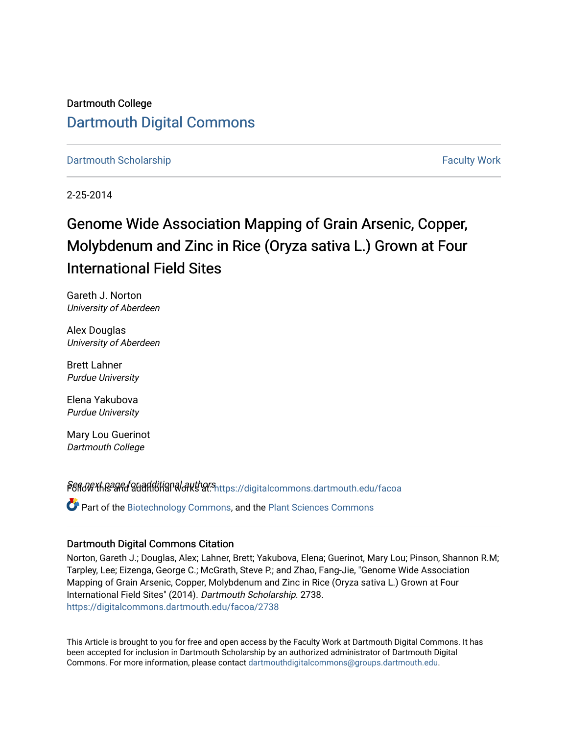Dartmouth College [Dartmouth Digital Commons](https://digitalcommons.dartmouth.edu/) 

[Dartmouth Scholarship](https://digitalcommons.dartmouth.edu/facoa) [Faculty Work](https://digitalcommons.dartmouth.edu/faculty) and The Basic Scholarship Faculty Work Faculty Work

2-25-2014

# Genome Wide Association Mapping of Grain Arsenic, Copper, Molybdenum and Zinc in Rice (Oryza sativa L.) Grown at Four International Field Sites

Gareth J. Norton University of Aberdeen

Alex Douglas University of Aberdeen

Brett Lahner Purdue University

Elena Yakubova Purdue University

Mary Lou Guerinot Dartmouth College

Pert of the and additional authors and algebra incommons dartmouth.edu/facoa

Part of the [Biotechnology Commons](http://network.bepress.com/hgg/discipline/111?utm_source=digitalcommons.dartmouth.edu%2Ffacoa%2F2738&utm_medium=PDF&utm_campaign=PDFCoverPages), and the [Plant Sciences Commons](http://network.bepress.com/hgg/discipline/102?utm_source=digitalcommons.dartmouth.edu%2Ffacoa%2F2738&utm_medium=PDF&utm_campaign=PDFCoverPages)

## Dartmouth Digital Commons Citation

Norton, Gareth J.; Douglas, Alex; Lahner, Brett; Yakubova, Elena; Guerinot, Mary Lou; Pinson, Shannon R.M; Tarpley, Lee; Eizenga, George C.; McGrath, Steve P.; and Zhao, Fang-Jie, "Genome Wide Association Mapping of Grain Arsenic, Copper, Molybdenum and Zinc in Rice (Oryza sativa L.) Grown at Four International Field Sites" (2014). Dartmouth Scholarship. 2738. [https://digitalcommons.dartmouth.edu/facoa/2738](https://digitalcommons.dartmouth.edu/facoa/2738?utm_source=digitalcommons.dartmouth.edu%2Ffacoa%2F2738&utm_medium=PDF&utm_campaign=PDFCoverPages) 

This Article is brought to you for free and open access by the Faculty Work at Dartmouth Digital Commons. It has been accepted for inclusion in Dartmouth Scholarship by an authorized administrator of Dartmouth Digital Commons. For more information, please contact [dartmouthdigitalcommons@groups.dartmouth.edu](mailto:dartmouthdigitalcommons@groups.dartmouth.edu).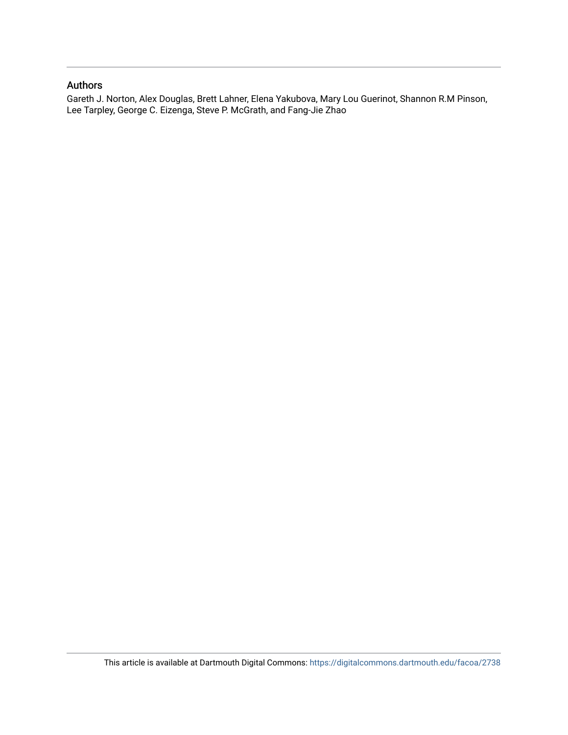## Authors

Gareth J. Norton, Alex Douglas, Brett Lahner, Elena Yakubova, Mary Lou Guerinot, Shannon R.M Pinson, Lee Tarpley, George C. Eizenga, Steve P. McGrath, and Fang-Jie Zhao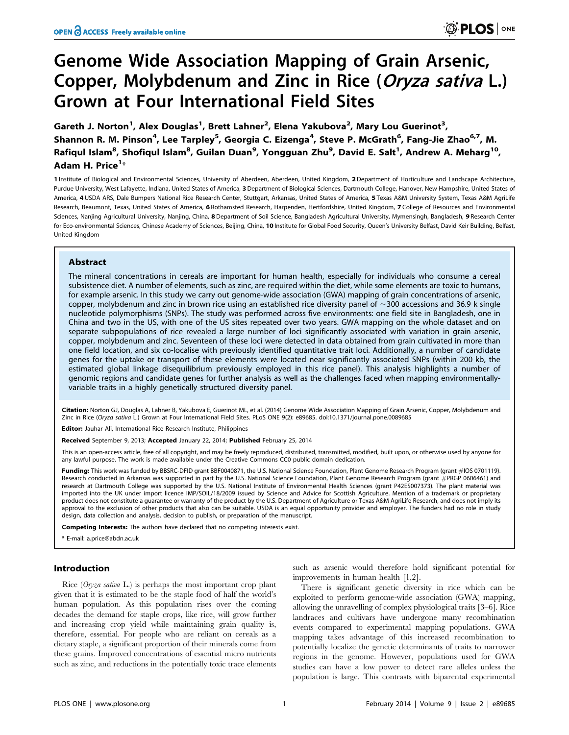# Genome Wide Association Mapping of Grain Arsenic, Copper, Molybdenum and Zinc in Rice (Oryza sativa L.) Grown at Four International Field Sites

Gareth J. Norton<sup>1</sup>, Alex Douglas<sup>1</sup>, Brett Lahner<sup>2</sup>, Elena Yakubova<sup>2</sup>, Mary Lou Guerinot<sup>3</sup>, Shannon R. M. Pinson<sup>4</sup>, Lee Tarpley<sup>5</sup>, Georgia C. Eizenga<sup>4</sup>, Steve P. McGrath<sup>6</sup>, Fang-Jie Zhao<sup>6,7</sup>, M. Rafiqul Islam<sup>8</sup>, Shofiqul Islam<sup>8</sup>, Guilan Duan<sup>9</sup>, Yongguan Zhu<sup>9</sup>, David E. Salt<sup>1</sup>, Andrew A. Meharg<sup>10</sup>, Adam H. Price<sup>1</sup>\*

1 Institute of Biological and Environmental Sciences, University of Aberdeen, Aberdeen, United Kingdom, 2 Department of Horticulture and Landscape Architecture, Purdue University, West Lafayette, Indiana, United States of America, 3 Department of Biological Sciences, Dartmouth College, Hanover, New Hampshire, United States of America, 4 USDA ARS, Dale Bumpers National Rice Research Center, Stuttgart, Arkansas, United States of America, 5 Texas A&M University System, Texas A&M AgriLife Research, Beaumont, Texas, United States of America, 6 Rothamsted Research, Harpenden, Hertfordshire, United Kingdom, 7 College of Resources and Environmental Sciences, Nanjing Agricultural University, Nanjing, China, 8 Department of Soil Science, Bangladesh Agricultural University, Mymensingh, Bangladesh, 9 Research Center for Eco-environmental Sciences, Chinese Academy of Sciences, Beijing, China, 10 Institute for Global Food Security, Queen's University Belfast, David Keir Building, Belfast, United Kingdom

## Abstract

The mineral concentrations in cereals are important for human health, especially for individuals who consume a cereal subsistence diet. A number of elements, such as zinc, are required within the diet, while some elements are toxic to humans, for example arsenic. In this study we carry out genome-wide association (GWA) mapping of grain concentrations of arsenic, copper, molybdenum and zinc in brown rice using an established rice diversity panel of  $\sim$ 300 accessions and 36.9 k single nucleotide polymorphisms (SNPs). The study was performed across five environments: one field site in Bangladesh, one in China and two in the US, with one of the US sites repeated over two years. GWA mapping on the whole dataset and on separate subpopulations of rice revealed a large number of loci significantly associated with variation in grain arsenic, copper, molybdenum and zinc. Seventeen of these loci were detected in data obtained from grain cultivated in more than one field location, and six co-localise with previously identified quantitative trait loci. Additionally, a number of candidate genes for the uptake or transport of these elements were located near significantly associated SNPs (within 200 kb, the estimated global linkage disequilibrium previously employed in this rice panel). This analysis highlights a number of genomic regions and candidate genes for further analysis as well as the challenges faced when mapping environmentallyvariable traits in a highly genetically structured diversity panel.

Citation: Norton GJ, Douglas A, Lahner B, Yakubova E, Guerinot ML, et al. (2014) Genome Wide Association Mapping of Grain Arsenic, Copper, Molybdenum and Zinc in Rice (Oryza sativa L.) Grown at Four International Field Sites. PLoS ONE 9(2): e89685. doi:10.1371/journal.pone.0089685

Editor: Jauhar Ali, International Rice Research Institute, Philippines

Received September 9, 2013; Accepted January 22, 2014; Published February 25, 2014

This is an open-access article, free of all copyright, and may be freely reproduced, distributed, transmitted, modified, built upon, or otherwise used by anyone for any lawful purpose. The work is made available under the Creative Commons CC0 public domain dedication.

Funding: This work was funded by BBSRC-DFID grant BBF0040871, the U.S. National Science Foundation, Plant Genome Research Program (grant #IOS 0701119). Research conducted in Arkansas was supported in part by the U.S. National Science Foundation, Plant Genome Research Program (grant #PRGP 0606461) and research at Dartmouth College was supported by the U.S. National Institute of Environmental Health Sciences (grant P42ES007373). The plant material was<br>imported into the UK under import licence IMP/SOIL/18/2009 issued by S product does not constitute a guarantee or warranty of the product by the U.S. Department of Agriculture or Texas A&M AgriLife Research, and does not imply its approval to the exclusion of other products that also can be suitable. USDA is an equal opportunity provider and employer. The funders had no role in study design, data collection and analysis, decision to publish, or preparation of the manuscript.

Competing Interests: The authors have declared that no competing interests exist.

E-mail: a.price@abdn.ac.uk

## Introduction

Rice ( $Oryza sativa L$ ) is perhaps the most important crop plant given that it is estimated to be the staple food of half the world's human population. As this population rises over the coming decades the demand for staple crops, like rice, will grow further and increasing crop yield while maintaining grain quality is, therefore, essential. For people who are reliant on cereals as a dietary staple, a significant proportion of their minerals come from these grains. Improved concentrations of essential micro nutrients such as zinc, and reductions in the potentially toxic trace elements

such as arsenic would therefore hold significant potential for improvements in human health [1,2].

There is significant genetic diversity in rice which can be exploited to perform genome-wide association (GWA) mapping, allowing the unravelling of complex physiological traits [3–6]. Rice landraces and cultivars have undergone many recombination events compared to experimental mapping populations. GWA mapping takes advantage of this increased recombination to potentially localize the genetic determinants of traits to narrower regions in the genome. However, populations used for GWA studies can have a low power to detect rare alleles unless the population is large. This contrasts with biparental experimental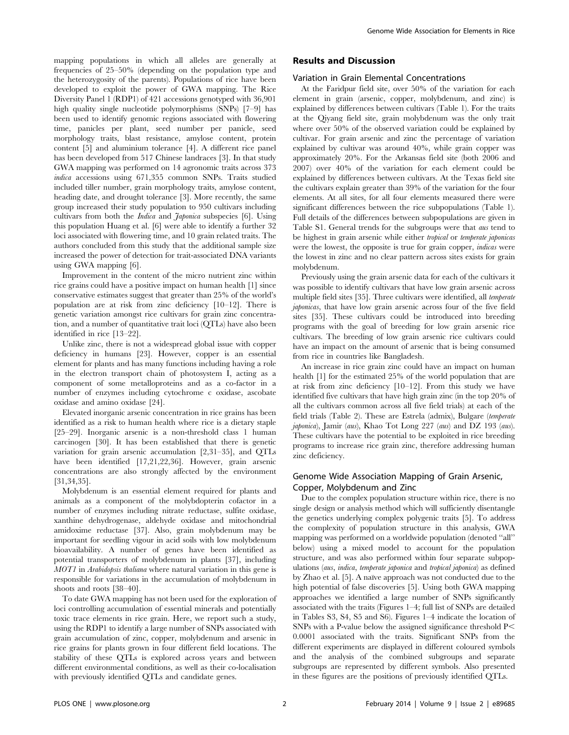mapping populations in which all alleles are generally at frequencies of 25–50% (depending on the population type and the heterozygosity of the parents). Populations of rice have been developed to exploit the power of GWA mapping. The Rice Diversity Panel 1 (RDP1) of 421 accessions genotyped with 36,901 high quality single nucleotide polymorphisms (SNPs) [7–9] has been used to identify genomic regions associated with flowering time, panicles per plant, seed number per panicle, seed morphology traits, blast resistance, amylose content, protein content [5] and aluminium tolerance [4]. A different rice panel has been developed from 517 Chinese landraces [3]. In that study GWA mapping was performed on 14 agronomic traits across 373 indica accessions using 671,355 common SNPs. Traits studied included tiller number, grain morphology traits, amylose content, heading date, and drought tolerance [3]. More recently, the same group increased their study population to 950 cultivars including cultivars from both the *Indica* and *Japonica* subspecies [6]. Using this population Huang et al. [6] were able to identify a further 32 loci associated with flowering time, and 10 grain related traits. The authors concluded from this study that the additional sample size increased the power of detection for trait-associated DNA variants using GWA mapping [6].

Improvement in the content of the micro nutrient zinc within rice grains could have a positive impact on human health [1] since conservative estimates suggest that greater than 25% of the world's population are at risk from zinc deficiency [10–12]. There is genetic variation amongst rice cultivars for grain zinc concentration, and a number of quantitative trait loci (QTLs) have also been identified in rice [13–22].

Unlike zinc, there is not a widespread global issue with copper deficiency in humans [23]. However, copper is an essential element for plants and has many functions including having a role in the electron transport chain of photosystem I, acting as a component of some metalloproteins and as a co-factor in a number of enzymes including cytochrome c oxidase, ascobate oxidase and amino oxidase [24].

Elevated inorganic arsenic concentration in rice grains has been identified as a risk to human health where rice is a dietary staple [25–29]. Inorganic arsenic is a non-threshold class 1 human carcinogen [30]. It has been established that there is genetic variation for grain arsenic accumulation [2,31–35], and QTLs have been identified [17,21,22,36]. However, grain arsenic concentrations are also strongly affected by the environment [31,34,35].

Molybdenum is an essential element required for plants and animals as a component of the molybdopterin cofactor in a number of enzymes including nitrate reductase, sulfite oxidase, xanthine dehydrogenase, aldehyde oxidase and mitochondrial amidoxime reductase [37]. Also, grain molybdenum may be important for seedling vigour in acid soils with low molybdenum bioavailability. A number of genes have been identified as potential transporters of molybdenum in plants [37], including MOT1 in Arabidopsis thaliana where natural variation in this gene is responsible for variations in the accumulation of molybdenum in shoots and roots [38–40].

To date GWA mapping has not been used for the exploration of loci controlling accumulation of essential minerals and potentially toxic trace elements in rice grain. Here, we report such a study, using the RDP1 to identify a large number of SNPs associated with grain accumulation of zinc, copper, molybdenum and arsenic in rice grains for plants grown in four different field locations. The stability of these QTLs is explored across years and between different environmental conditions, as well as their co-localisation with previously identified QTLs and candidate genes.

## Results and Discussion

#### Variation in Grain Elemental Concentrations

At the Faridpur field site, over 50% of the variation for each element in grain (arsenic, copper, molybdenum, and zinc) is explained by differences between cultivars (Table 1). For the traits at the Qiyang field site, grain molybdenum was the only trait where over 50% of the observed variation could be explained by cultivar. For grain arsenic and zinc the percentage of variation explained by cultivar was around 40%, while grain copper was approximately 20%. For the Arkansas field site (both 2006 and 2007) over 40% of the variation for each element could be explained by differences between cultivars. At the Texas field site the cultivars explain greater than 39% of the variation for the four elements. At all sites, for all four elements measured there were significant differences between the rice subpopulations (Table 1). Full details of the differences between subpopulations are given in Table S1. General trends for the subgroups were that aus tend to be highest in grain arsenic while either tropical or temperate japonicas were the lowest, the opposite is true for grain copper, indicas were the lowest in zinc and no clear pattern across sites exists for grain molybdenum.

Previously using the grain arsenic data for each of the cultivars it was possible to identify cultivars that have low grain arsenic across multiple field sites [35]. Three cultivars were identified, all temperate japonicas, that have low grain arsenic across four of the five field sites [35]. These cultivars could be introduced into breeding programs with the goal of breeding for low grain arsenic rice cultivars. The breeding of low grain arsenic rice cultivars could have an impact on the amount of arsenic that is being consumed from rice in countries like Bangladesh.

An increase in rice grain zinc could have an impact on human health [1] for the estimated 25% of the world population that are at risk from zinc deficiency [10–12]. From this study we have identified five cultivars that have high grain zinc (in the top 20% of all the cultivars common across all five field trials) at each of the field trials (Table 2). These are Estrela (admix), Bulgare (temperate japonica), Jamir (aus), Khao Tot Long 227 (aus) and DZ 193 (aus). These cultivars have the potential to be exploited in rice breeding programs to increase rice grain zinc, therefore addressing human zinc deficiency.

## Genome Wide Association Mapping of Grain Arsenic, Copper, Molybdenum and Zinc

Due to the complex population structure within rice, there is no single design or analysis method which will sufficiently disentangle the genetics underlying complex polygenic traits [5]. To address the complexity of population structure in this analysis, GWA mapping was performed on a worldwide population (denoted ''all'' below) using a mixed model to account for the population structure, and was also performed within four separate subpopulations (aus, indica, temperate japonica and tropical japonica) as defined by Zhao et al. [5]. A naïve approach was not conducted due to the high potential of false discoveries [5]. Using both GWA mapping approaches we identified a large number of SNPs significantly associated with the traits (Figures 1–4; full list of SNPs are detailed in Tables S3, S4, S5 and S6). Figures 1–4 indicate the location of SNPs with a P-value below the assigned significance threshold  $P<$ 0.0001 associated with the traits. Significant SNPs from the different experiments are displayed in different coloured symbols and the analysis of the combined subgroups and separate subgroups are represented by different symbols. Also presented in these figures are the positions of previously identified QTLs.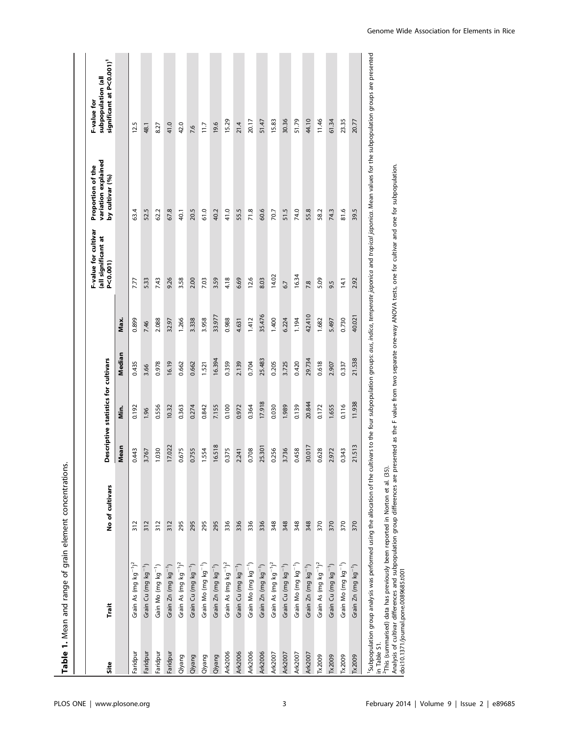| Site     |                                              |                 |        |                                      |        |        | F-value for cultivar<br>(all significant at | variation explained<br>Proportion of the | subpopulation (all<br>F-value for    |
|----------|----------------------------------------------|-----------------|--------|--------------------------------------|--------|--------|---------------------------------------------|------------------------------------------|--------------------------------------|
|          | Trait                                        | No of cultivars |        | Descriptive statistics for cultivars |        |        | P<0.001)                                    | by cultivar (%)                          | significant at P<0.001) <sup>1</sup> |
|          |                                              |                 | Mean   | in.<br>E                             | Median | Max.   |                                             |                                          |                                      |
| Faridpur | Grain As (mg $kg^{-1}$ ) <sup>2</sup>        | 312             | 0.443  | 0.192                                | 0.435  | 0.899  | 7.77                                        | 63.4                                     | 12.5                                 |
| Faridpur | Grain Cu (mg kg <sup>-1</sup> )              | 312             | 3.767  | 1.96                                 | 3.66   | 7.46   | 5.33                                        | 52.5                                     | 48.1                                 |
| Faridpur | Gain Mo (mg kg <sup>-1</sup> )               | 312             | 1.030  | 0.556                                | 0.978  | 2.088  | 7.43                                        | 62.2                                     | 8.27                                 |
| Faridpur | Grain Zn (mg kg <sup>-1</sup> )              | 312             | 17.022 | 10.32                                | 16.19  | 32.97  | 9.26                                        | 67.8                                     | 41.0                                 |
| Qiyang   | Grain As (mg $kg^{-1}$ ) <sup>2</sup>        | 295             | 0.675  | 0.363                                | 0.662  | 1.266  | 3.58                                        | 40.1                                     | 42.0                                 |
| Qiyang   | Grain Cu (mg kg <sup>-1</sup> )              | 295             | 0.755  | 0.274                                | 0.662  | 3.338  | 2.00                                        | 20.5                                     | 7.6                                  |
| Qiyang   | Grain Mo (mg kg <sup>-1</sup> )              | 295             | 1.554  | 0.842                                | 1.521  | 3.958  | 7.03                                        | 61.0                                     | 11.7                                 |
| Qiyang   | Grain Zn (mg kg <sup>-1</sup> )              | 295             | 16.518 | 7.155                                | 16.394 | 33.977 | 3.59                                        | 40.2                                     | 19.6                                 |
| Ark2006  | Grain As (mg $kg^{-1}$ ) <sup>2</sup>        | 336             | 0.375  | 0.100                                | 0.359  | 0.988  | 4.18                                        | 41.0                                     | 15.29                                |
| Ark2006  | Grain Cu (mg kg <sup>-1</sup> )              | 336             | 2.241  | 0.972                                | 2.139  | 4.631  | 6.69                                        | 55.5                                     | 21.4                                 |
| Ark2006  | Grain Mo (mg kg <sup>-1</sup> )              | 336             | 0.708  | 0.364                                | 0.704  | 1.412  | 12.6                                        | 71.8                                     | 20.17                                |
| Ark2006  | Grain Zn (mg kg <sup>-1</sup> )              | 336             | 25.301 | 17.918                               | 25.483 | 35.476 | 8.03                                        | 60.6                                     | 51.47                                |
| Ark2007  | Grain As $(mg kg^{-1})^2$                    | 348             | 0.256  | 0.030                                | 0.205  | 1.400  | 14.02                                       | 70.7                                     | 15.83                                |
| Ark2007  | Grain Cu (mg kg <sup>-1</sup> )              | 348             | 3.736  | 1.989                                | 3.725  | 6.224  | 6.7                                         | 51.5                                     | 30.36                                |
| Ark2007  | Grain Mo (mg kg <sup>-1</sup> )              | 348             | 0.458  | 0.139                                | 0.420  | 1.194  | 16.34                                       | 74.0                                     | 51.79                                |
| Ark2007  | Grain $Zn$ (mg $kg^{-1}$ )                   | 348             | 30.017 | 20.844                               | 29.734 | 42.410 | 7.8                                         | 55.8                                     | 44.10                                |
| Tx2009   | Grain As (mg kg <sup>-1</sup> ) <sup>2</sup> | 370             | 0.628  | 0.172                                | 0.618  | 1.682  | 5.09                                        | 58.2                                     | 11.46                                |
| Tx2009   | Grain Cu (mg kg <sup>-1</sup> )              | 370             | 2.972  | 1.655                                | 2.907  | 5.497  | 9.5                                         | 74.3                                     | 61.34                                |
| Tx2009   | Grain Mo (mg kg <sup>-1</sup> )              | 370             | 0.343  | 0.116                                | 0.337  | 0.730  | $\frac{14}{1}$                              | 81.6                                     | 23.35                                |
| Tx2009   | Grain Zn (mg kg <sup>-1</sup> )              | 370             | 21.513 | 11.938                               | 21.538 | 40.021 | 2.92                                        | 39.5                                     | 20.77                                |

2This (summarised) data has previously been reported in Norton et al. (35).

<sup>1</sup>This (summarised) data has previously been reported in Norton et al. (35).<br>Analysis of cultivar differences and subpopulation group differences are presented as the F value from two separate one-way ANOVA tests, one for Analysis of cultivar differences and subpopulation group differences are presented as the F value from two separate one-way ANOVA tests, one for cultivar and one for subpopulation. doi:10.1371/journal.pone.0089685.t001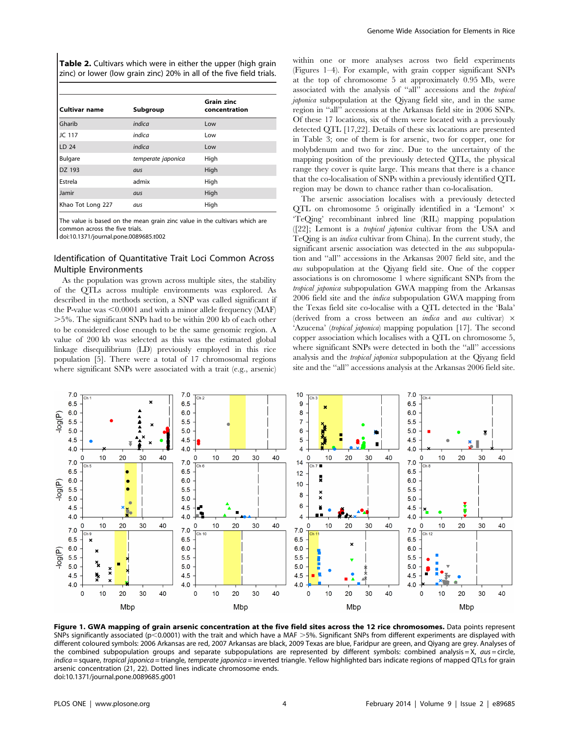Table 2. Cultivars which were in either the upper (high grain zinc) or lower (low grain zinc) 20% in all of the five field trials.

| <b>Cultivar name</b> | Subgroup           | <b>Grain zinc</b><br>concentration |  |
|----------------------|--------------------|------------------------------------|--|
| Gharib               | indica             | Low                                |  |
| JC 117               | indica             | Low                                |  |
| LD 24                | indica             | Low                                |  |
| <b>Bulgare</b>       | temperate japonica | High                               |  |
| DZ 193               | aus                | High                               |  |
| Estrela              | admix              | High                               |  |
| Jamir                | aus                | High                               |  |
| Khao Tot Long 227    | aus                | High                               |  |

The value is based on the mean grain zinc value in the cultivars which are common across the five trials.

doi:10.1371/journal.pone.0089685.t002

## Identification of Quantitative Trait Loci Common Across Multiple Environments

As the population was grown across multiple sites, the stability of the QTLs across multiple environments was explored. As described in the methods section, a SNP was called significant if the P-value was  $\leq 0.0001$  and with a minor allele frequency (MAF) .5%. The significant SNPs had to be within 200 kb of each other to be considered close enough to be the same genomic region. A value of 200 kb was selected as this was the estimated global linkage disequilibrium (LD) previously employed in this rice population [5]. There were a total of 17 chromosomal regions where significant SNPs were associated with a trait (e.g., arsenic)

within one or more analyses across two field experiments (Figures 1–4). For example, with grain copper significant SNPs at the top of chromosome 5 at approximately 0.95 Mb, were associated with the analysis of ''all'' accessions and the tropical japonica subpopulation at the Qiyang field site, and in the same region in ''all'' accessions at the Arkansas field site in 2006 SNPs. Of these 17 locations, six of them were located with a previously detected QTL [17,22]. Details of these six locations are presented in Table 3; one of them is for arsenic, two for copper, one for molybdenum and two for zinc. Due to the uncertainty of the mapping position of the previously detected QTLs, the physical range they cover is quite large. This means that there is a chance that the co-localisation of SNPs within a previously identified QTL region may be down to chance rather than co-localisation.

The arsenic association localises with a previously detected QTL on chromosome 5 originally identified in a 'Lemont'  $\times$ 'TeQing' recombinant inbred line (RIL) mapping population ([22]; Lemont is a tropical japonica cultivar from the USA and TeQing is an indica cultivar from China). In the current study, the significant arsenic association was detected in the aus subpopulation and ''all'' accessions in the Arkansas 2007 field site, and the aus subpopulation at the Qiyang field site. One of the copper associations is on chromosome 1 where significant SNPs from the tropical japonica subpopulation GWA mapping from the Arkansas 2006 field site and the indica subpopulation GWA mapping from the Texas field site co-localise with a QTL detected in the 'Bala' (derived from a cross between an *indica* and *aus* cultivar)  $\times$ 'Azucena' (tropical japonica) mapping population [17]. The second copper association which localises with a QTL on chromosome 5, where significant SNPs were detected in both the "all" accessions analysis and the tropical japonica subpopulation at the Qiyang field site and the ''all'' accessions analysis at the Arkansas 2006 field site.



Figure 1. GWA mapping of grain arsenic concentration at the five field sites across the 12 rice chromosomes. Data points represent SNPs significantly associated ( $p<0.0001$ ) with the trait and which have a MAF  $>5%$ . Significant SNPs from different experiments are displayed with different coloured symbols: 2006 Arkansas are red, 2007 Arkansas are black, 2009 Texas are blue, Faridpur are green, and Qiyang are grey. Analyses of the combined subpopulation groups and separate subpopulations are represented by different symbols: combined analysis = X,  $\alpha$ us = circle, indica = square, tropical japonica = triangle, temperate japonica = inverted triangle. Yellow highlighted bars indicate regions of mapped QTLs for grain arsenic concentration (21, 22). Dotted lines indicate chromosome ends. doi:10.1371/journal.pone.0089685.g001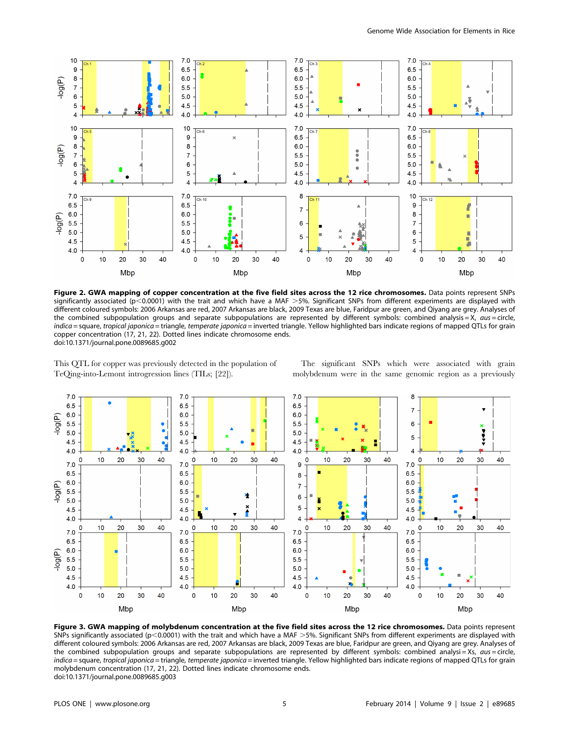

Figure 2. GWA mapping of copper concentration at the five field sites across the 12 rice chromosomes. Data points represent SNPs significantly associated ( $p$ <0.0001) with the trait and which have a MAF >5%. Significant SNPs from different experiments are displayed with different coloured symbols: 2006 Arkansas are red, 2007 Arkansas are black, 2009 Texas are blue, Faridpur are green, and Qiyang are grey. Analyses of the combined subpopulation groups and separate subpopulations are represented by different symbols: combined analysis = X,  $aus = circle$ , indica = square, tropical japonica = triangle, temperate japonica = inverted triangle. Yellow highlighted bars indicate regions of mapped QTLs for grain copper concentration (17, 21, 22). Dotted lines indicate chromosome ends. doi:10.1371/journal.pone.0089685.g002

This QTL for copper was previously detected in the population of TeQing-into-Lemont introgression lines (TILs; [22]).

The significant SNPs which were associated with grain molybdenum were in the same genomic region as a previously



Figure 3. GWA mapping of molybdenum concentration at the five field sites across the 12 rice chromosomes. Data points represent SNPs significantly associated ( $p$ <0.0001) with the trait and which have a MAF >5%. Significant SNPs from different experiments are displayed with different coloured symbols: 2006 Arkansas are red, 2007 Arkansas are black, 2009 Texas are blue, Faridpur are green, and Qiyang are grey. Analyses of the combined subpopulation groups and separate subpopulations are represented by different symbols: combined analysi=Xs,  $\alpha$ us=circle, indica = square, tropical japonica = triangle, temperate japonica = inverted triangle. Yellow highlighted bars indicate regions of mapped QTLs for grain molybdenum concentration (17, 21, 22). Dotted lines indicate chromosome ends. doi:10.1371/journal.pone.0089685.g003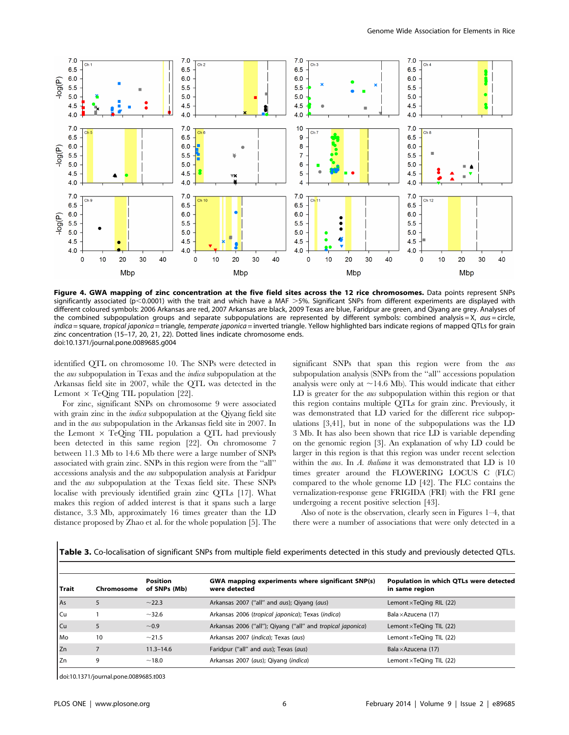

Figure 4. GWA mapping of zinc concentration at the five field sites across the 12 rice chromosomes. Data points represent SNPs significantly associated ( $p$ <0.0001) with the trait and which have a MAF >5%. Significant SNPs from different experiments are displayed with different coloured symbols: 2006 Arkansas are red, 2007 Arkansas are black, 2009 Texas are blue, Faridpur are green, and Qiyang are grey. Analyses of the combined subpopulation groups and separate subpopulations are represented by different symbols: combined analysis = X,  $aus = circle$ , indica = square, tropical japonica = triangle, temperate japonica = inverted triangle. Yellow highlighted bars indicate regions of mapped QTLs for grain zinc concentration (15–17, 20, 21, 22). Dotted lines indicate chromosome ends. doi:10.1371/journal.pone.0089685.g004

identified QTL on chromosome 10. The SNPs were detected in the aus subpopulation in Texas and the indica subpopulation at the Arkansas field site in 2007, while the QTL was detected in the Lemont  $\times$  TeQing TIL population [22].

For zinc, significant SNPs on chromosome 9 were associated with grain zinc in the *indica* subpopulation at the Oiyang field site and in the aus subpopulation in the Arkansas field site in 2007. In the Lemont  $\times$  TeQing TIL population a QTL had previously been detected in this same region [22]. On chromosome 7 between 11.3 Mb to 14.6 Mb there were a large number of SNPs associated with grain zinc. SNPs in this region were from the ''all'' accessions analysis and the aus subpopulation analysis at Faridpur and the aus subpopulation at the Texas field site. These SNPs localise with previously identified grain zinc QTLs [17]. What makes this region of added interest is that it spans such a large distance, 3.3 Mb, approximately 16 times greater than the LD distance proposed by Zhao et al. for the whole population [5]. The significant SNPs that span this region were from the aus subpopulation analysis (SNPs from the ''all'' accessions population analysis were only at  $\sim$ 14.6 Mb). This would indicate that either LD is greater for the *aus* subpopulation within this region or that this region contains multiple QTLs for grain zinc. Previously, it was demonstrated that LD varied for the different rice subpopulations [3,41], but in none of the subpopulations was the LD 3 Mb. It has also been shown that rice LD is variable depending on the genomic region [3]. An explanation of why LD could be larger in this region is that this region was under recent selection within the *aus*. In A. thaliana it was demonstrated that LD is 10 times greater around the FLOWERING LOCUS C (FLC) compared to the whole genome LD [42]. The FLC contains the vernalization-response gene FRIGIDA (FRI) with the FRI gene undergoing a recent positive selection [43].

Also of note is the observation, clearly seen in Figures 1–4, that there were a number of associations that were only detected in a

| <b>Table 3.</b> Co-localisation of significant SNPs from multiple field experiments detected in this study and previously detected QTLs. |  |  |  |  |
|------------------------------------------------------------------------------------------------------------------------------------------|--|--|--|--|
|------------------------------------------------------------------------------------------------------------------------------------------|--|--|--|--|

| l Trait         | Chromosome | <b>Position</b><br>of SNPs (Mb) | GWA mapping experiments where significant SNP(s)<br>were detected | Population in which QTLs were detected<br>in same region |
|-----------------|------------|---------------------------------|-------------------------------------------------------------------|----------------------------------------------------------|
| As              |            | ~22.3                           | Arkansas 2007 ("all" and <i>aus</i> ); Qiyang ( <i>aus</i> )      | Lemont $\times$ TeQing RIL (22)                          |
| l Cu            |            | $-32.6$                         | Arkansas 2006 (tropical japonica); Texas (indica)                 | Bala $\times$ Azucena (17)                               |
| $ $ Cu          | 5          | $~1$ 0.9                        | Arkansas 2006 ("all"); Qiyang ("all" and tropical japonica)       | Lemont $\times$ TeQing TIL (22)                          |
| <b>I</b> Mo     | 10         | ~1.5                            | Arkansas 2007 (indica); Texas (aus)                               | Lemont xTeQing TIL (22)                                  |
| Iz <sub>n</sub> |            | $11.3 - 14.6$                   | Faridpur ("all" and aus); Texas (aus)                             | Bala $\times$ Azucena (17)                               |
| l Zn            | 9          | ~18.0                           | Arkansas 2007 (aus); Qiyang (indica)                              | Lemont $\times$ TeQing TIL (22)                          |

doi:10.1371/journal.pone.0089685.t003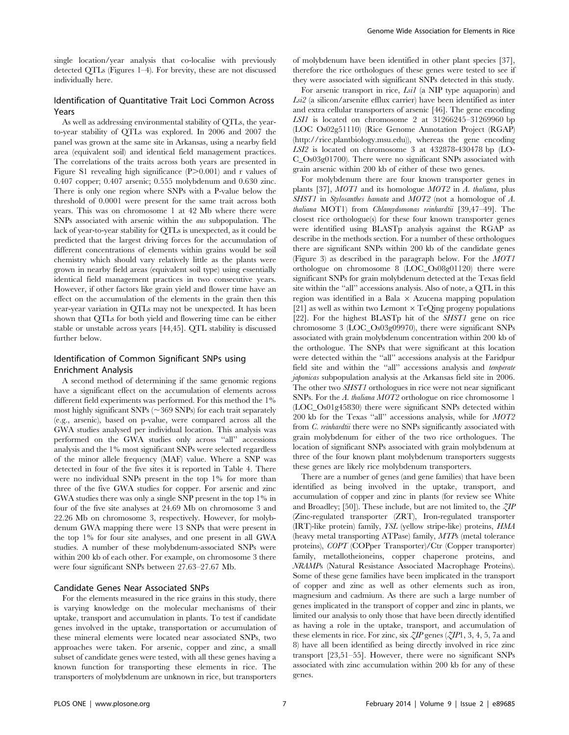single location/year analysis that co-localise with previously detected QTLs (Figures 1–4). For brevity, these are not discussed individually here.

## Identification of Quantitative Trait Loci Common Across Years

As well as addressing environmental stability of QTLs, the yearto-year stability of QTLs was explored. In 2006 and 2007 the panel was grown at the same site in Arkansas, using a nearby field area (equivalent soil) and identical field management practices. The correlations of the traits across both years are presented in Figure S1 revealing high significance  $(P>0.001)$  and r values of 0.407 copper; 0.407 arsenic; 0.555 molybdenum and 0.630 zinc. There is only one region where SNPs with a P-value below the threshold of 0.0001 were present for the same trait across both years. This was on chromosome 1 at 42 Mb where there were SNPs associated with arsenic within the aus subpopulation. The lack of year-to-year stability for QTLs is unexpected, as it could be predicted that the largest driving forces for the accumulation of different concentrations of elements within grains would be soil chemistry which should vary relatively little as the plants were grown in nearby field areas (equivalent soil type) using essentially identical field management practices in two consecutive years. However, if other factors like grain yield and flower time have an effect on the accumulation of the elements in the grain then this year-year variation in QTLs may not be unexpected. It has been shown that QTLs for both yield and flowering time can be either stable or unstable across years [44,45]. QTL stability is discussed further below.

## Identification of Common Significant SNPs using Enrichment Analysis

A second method of determining if the same genomic regions have a significant effect on the accumulation of elements across different field experiments was performed. For this method the 1% most highly significant SNPs ( $\sim$ 369 SNPs) for each trait separately (e.g., arsenic), based on p-value, were compared across all the GWA studies analysed per individual location. This analysis was performed on the GWA studies only across ''all'' accessions analysis and the 1% most significant SNPs were selected regardless of the minor allele frequency (MAF) value. Where a SNP was detected in four of the five sites it is reported in Table 4. There were no individual SNPs present in the top 1% for more than three of the five GWA studies for copper. For arsenic and zinc GWA studies there was only a single SNP present in the top 1% in four of the five site analyses at 24.69 Mb on chromosome 3 and 22.26 Mb on chromosome 3, respectively. However, for molybdenum GWA mapping there were 13 SNPs that were present in the top 1% for four site analyses, and one present in all GWA studies. A number of these molybdenum-associated SNPs were within 200 kb of each other. For example, on chromosome 3 there were four significant SNPs between 27.63–27.67 Mb.

## Candidate Genes Near Associated SNPs

For the elements measured in the rice grains in this study, there is varying knowledge on the molecular mechanisms of their uptake, transport and accumulation in plants. To test if candidate genes involved in the uptake, transportation or accumulation of these mineral elements were located near associated SNPs, two approaches were taken. For arsenic, copper and zinc, a small subset of candidate genes were tested, with all these genes having a known function for transporting these elements in rice. The transporters of molybdenum are unknown in rice, but transporters of molybdenum have been identified in other plant species [37], therefore the rice orthologues of these genes were tested to see if they were associated with significant SNPs detected in this study.

For arsenic transport in rice, Lsi1 (a NIP type aquaporin) and Lsi2 (a silicon/arsenite efflux carrier) have been identified as inter and extra cellular transporters of arsenic [46]. The gene encoding LSI1 is located on chromosome 2 at 31266245–31269960 bp (LOC Os02g51110) (Rice Genome Annotation Project (RGAP) (http://rice.plantbiology.msu.edu)), whereas the gene encoding LSI2 is located on chromosome 3 at 432878-430478 bp (LO-C\_Os03g01700). There were no significant SNPs associated with grain arsenic within 200 kb of either of these two genes.

For molybdenum there are four known transporter genes in plants [37], MOT1 and its homologue MOT2 in A. thaliana, plus SHST1 in Stylosanthes hamata and MOT2 (not a homologue of A. thaliana MOT1) from Chlamydomonas reinhardtii [39,47–49]. The closest rice orthologue(s) for these four known transporter genes were identified using BLASTp analysis against the RGAP as describe in the methods section. For a number of these orthologues there are significant SNPs within 200 kb of the candidate genes (Figure 3) as described in the paragraph below. For the MOT1 orthologue on chromosome 8 (LOC\_Os08g01120) there were significant SNPs for grain molybdenum detected at the Texas field site within the ''all'' accessions analysis. Also of note, a QTL in this region was identified in a Bala  $\times$  Azucena mapping population [21] as well as within two Lemont  $\times$  TeQing progeny populations [22]. For the highest BLASTp hit of the SHST1 gene on rice chromosome 3 (LOC\_Os03g09970), there were significant SNPs associated with grain molybdenum concentration within 200 kb of the orthologue. The SNPs that were significant at this location were detected within the ''all'' accessions analysis at the Faridpur field site and within the ''all'' accessions analysis and temperate japonicas subpopulation analysis at the Arkansas field site in 2006. The other two SHST1 orthologues in rice were not near significant SNPs. For the A. thaliana MOT2 orthologue on rice chromosome 1 (LOC\_Os01g45830) there were significant SNPs detected within 200 kb for the Texas ''all'' accessions analysis, while for MOT2 from C. reinhardtii there were no SNPs significantly associated with grain molybdenum for either of the two rice orthologues. The location of significant SNPs associated with grain molybdenum at three of the four known plant molybdenum transporters suggests these genes are likely rice molybdenum transporters.

There are a number of genes (and gene families) that have been identified as being involved in the uptake, transport, and accumulation of copper and zinc in plants (for review see White and Broadley; [50]). These include, but are not limited to, the  $\zeta I\!P$ (Zinc-regulated transporter (ZRT), Iron-regulated transporter (IRT)-like protein) family, YSL (yellow stripe-like) proteins, HMA (heavy metal transporting ATPase) family, MTPs (metal tolerance proteins), COPT (COPper Transporter)/Ctr (Copper transporter) family, metallotheioneins, copper chaperone proteins, and NRAMPs (Natural Resistance Associated Macrophage Proteins). Some of these gene families have been implicated in the transport of copper and zinc as well as other elements such as iron, magnesium and cadmium. As there are such a large number of genes implicated in the transport of copper and zinc in plants, we limited our analysis to only those that have been directly identified as having a role in the uptake, transport, and accumulation of these elements in rice. For zinc, six  $\mathcal{Z}IP$  genes ( $\mathcal{Z}IP1$ , 3, 4, 5, 7a and 8) have all been identified as being directly involved in rice zinc transport [23,51–55]. However, there were no significant SNPs associated with zinc accumulation within 200 kb for any of these genes.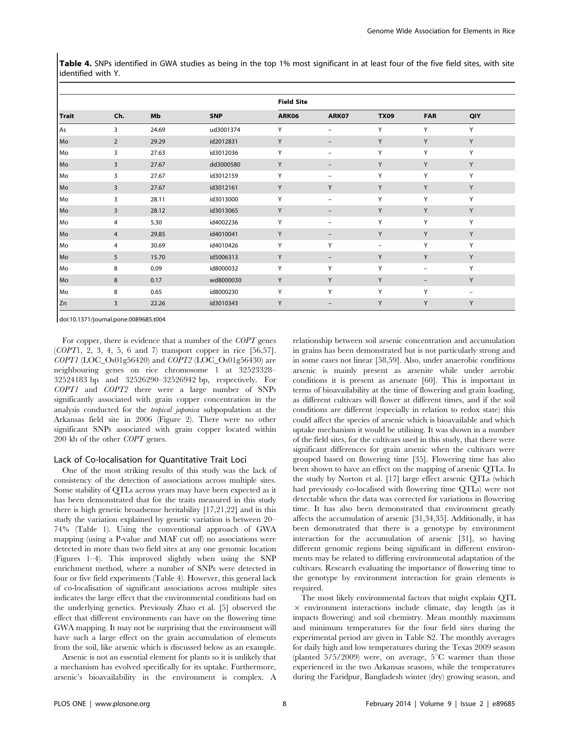Table 4. SNPs identified in GWA studies as being in the top 1% most significant in at least four of the five field sites, with site identified with Y.

|              |                |       |            | <b>Field Site</b> |                          |                          |                          |                          |
|--------------|----------------|-------|------------|-------------------|--------------------------|--------------------------|--------------------------|--------------------------|
| <b>Trait</b> | Ch.            | Mb    | <b>SNP</b> | ARK06             | ARK07                    | <b>TX09</b>              | <b>FAR</b>               | QIY                      |
| As           | 3              | 24.69 | ud3001374  | Y                 | $\overline{\phantom{0}}$ | Y                        | Y                        | Y                        |
| Mo           | $\overline{2}$ | 29.29 | id2012831  | Y                 | $\qquad \qquad -$        | Y                        | Y                        | Y                        |
| Mo           | 3              | 27.63 | id3012036  | Y                 | $\overline{\phantom{0}}$ | Y                        | Y                        | Y                        |
| Mo           | 3              | 27.67 | dd3000580  | Υ                 | $\qquad \qquad -$        | Y                        | Υ                        | Y                        |
| Mo           | 3              | 27.67 | id3012159  | Υ                 | $\overline{\phantom{0}}$ | Y                        | Υ                        | Y                        |
| Mo           | 3              | 27.67 | id3012161  | Y                 | Y                        | Y                        | Y                        | Y                        |
| Mo           | 3              | 28.11 | id3013000  | Y                 | $\overline{\phantom{0}}$ | Y                        | Y                        | Y                        |
| Mo           | 3              | 28.12 | id3013065  | Y                 | $\overline{\phantom{0}}$ | Y                        | Y                        | Y                        |
| Mo           | 4              | 5.30  | id4002236  | Υ                 | $\overline{\phantom{0}}$ | Y                        | Y                        | Y                        |
| Mo           | 4              | 29.85 | id4010041  | Υ                 | $\qquad \qquad -$        | Y                        | Υ                        | Y                        |
| Mo           | 4              | 30.69 | id4010426  | Y                 | Y                        | $\overline{\phantom{0}}$ | Y                        | Y                        |
| Mo           | 5              | 15.70 | id5006313  | Υ                 | $\overline{\phantom{m}}$ | Y                        | Y                        | Y                        |
| Mo           | 8              | 0.09  | id8000032  | Υ                 | Y                        | Y                        | $\overline{\phantom{0}}$ | Y                        |
| Mo           | 8              | 0.17  | wd8000030  | Y                 | Y                        | Y                        | $\overline{\phantom{m}}$ | Y                        |
| Mo           | 8              | 0.65  | id8000230  | Υ                 | Y                        | Y                        | Y                        | $\overline{\phantom{0}}$ |
| Zn           | 3              | 22.26 | id3010343  | Υ                 | $\overline{\phantom{0}}$ | Y                        | Y                        | Y                        |

doi:10.1371/journal.pone.0089685.t004

For copper, there is evidence that a number of the COPT genes (COPT1, 2, 3, 4, 5, 6 and 7) transport copper in rice [56,57].  $COPT1$  (LOC\_Os01g56420) and  $COPT2$  (LOC\_Os01g56430) are neighbouring genes on rice chromosome 1 at 32523328– 32524183 bp and 32526290–32526942 bp, respectively. For COPT1 and COPT2 there were a large number of SNPs significantly associated with grain copper concentration in the analysis conducted for the tropical japonica subpopulation at the Arkansas field site in 2006 (Figure 2). There were no other significant SNPs associated with grain copper located within  $200$  kb of the other  $\it{COPT}$  genes.

#### Lack of Co-localisation for Quantitative Trait Loci

One of the most striking results of this study was the lack of consistency of the detection of associations across multiple sites. Some stability of QTLs across years may have been expected as it has been demonstrated that for the traits measured in this study there is high genetic broadsense heritability [17,21,22] and in this study the variation explained by genetic variation is between 20– 74% (Table 1). Using the conventional approach of GWA mapping (using a P-value and MAF cut off) no associations were detected in more than two field sites at any one genomic location (Figures 1–4). This improved slightly when using the SNP enrichment method, where a number of SNPs were detected in four or five field experiments (Table 4). However, this general lack of co-localisation of significant associations across multiple sites indicates the large effect that the environmental conditions had on the underlying genetics. Previously Zhao et al. [5] observed the effect that different environments can have on the flowering time GWA mapping. It may not be surprising that the environment will have such a large effect on the grain accumulation of elements from the soil, like arsenic which is discussed below as an example.

Arsenic is not an essential element for plants so it is unlikely that a mechanism has evolved specifically for its uptake. Furthermore, arsenic's bioavailability in the environment is complex. A relationship between soil arsenic concentration and accumulation in grains has been demonstrated but is not particularly strong and in some cases not linear [58,59]. Also, under anaerobic conditions arsenic is mainly present as arsenite while under aerobic conditions it is present as arsenate [60]. This is important in terms of bioavailability at the time of flowering and grain loading, as different cultivars will flower at different times, and if the soil conditions are different (especially in relation to redox state) this could affect the species of arsenic which is bioavailable and which uptake mechanism it would be utilising. It was shown in a number of the field sites, for the cultivars used in this study, that there were significant differences for grain arsenic when the cultivars were grouped based on flowering time [35]. Flowering time has also been shown to have an effect on the mapping of arsenic QTLs. In the study by Norton et al. [17] large effect arsenic QTLs (which had previously co-localised with flowering time QTLs) were not detectable when the data was corrected for variations in flowering time. It has also been demonstrated that environment greatly affects the accumulation of arsenic [31,34,35]. Additionally, it has been demonstrated that there is a genotype by environment interaction for the accumulation of arsenic [31], so having different genomic regions being significant in different environments may be related to differing environmental adaptation of the cultivars. Research evaluating the importance of flowering time to the genotype by environment interaction for grain elements is required.

The most likely environmental factors that might explain QTL  $\times$  environment interactions include climate, day length (as it impacts flowering) and soil chemistry. Mean monthly maximum and minimum temperatures for the four field sites during the experimental period are given in Table S2. The monthly averages for daily high and low temperatures during the Texas 2009 season (planted  $5/5/2009$ ) were, on average,  $5^{\circ}$ C warmer than those experienced in the two Arkansas seasons, while the temperatures during the Faridpur, Bangladesh winter (dry) growing season, and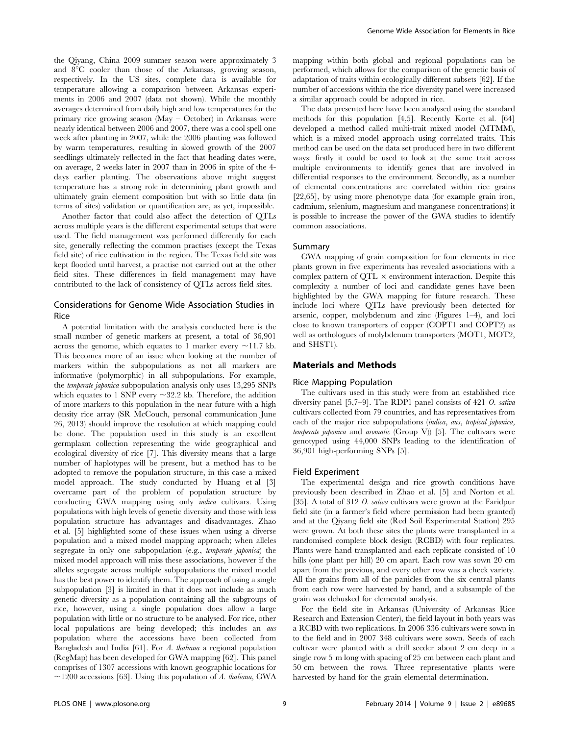the Qiyang, China 2009 summer season were approximately 3 and  $8^{\circ}$ C cooler than those of the Arkansas, growing season, respectively. In the US sites, complete data is available for temperature allowing a comparison between Arkansas experiments in 2006 and 2007 (data not shown). While the monthly averages determined from daily high and low temperatures for the primary rice growing season (May – October) in Arkansas were nearly identical between 2006 and 2007, there was a cool spell one week after planting in 2007, while the 2006 planting was followed by warm temperatures, resulting in slowed growth of the 2007 seedlings ultimately reflected in the fact that heading dates were, on average, 2 weeks later in 2007 than in 2006 in spite of the 4 days earlier planting. The observations above might suggest temperature has a strong role in determining plant growth and ultimately grain element composition but with so little data (in terms of sites) validation or quantification are, as yet, impossible.

Another factor that could also affect the detection of QTLs across multiple years is the different experimental setups that were used. The field management was performed differently for each site, generally reflecting the common practises (except the Texas field site) of rice cultivation in the region. The Texas field site was kept flooded until harvest, a practise not carried out at the other field sites. These differences in field management may have contributed to the lack of consistency of QTLs across field sites.

## Considerations for Genome Wide Association Studies in Rice

A potential limitation with the analysis conducted here is the small number of genetic markers at present, a total of 36,901 across the genome, which equates to 1 marker every  $\sim$ 11.7 kb. This becomes more of an issue when looking at the number of markers within the subpopulations as not all markers are informative (polymorphic) in all subpopulations. For example, the temperate japonica subpopulation analysis only uses 13,295 SNPs which equates to 1 SNP every  $\sim$ 32.2 kb. Therefore, the addition of more markers to this population in the near future with a high density rice array (SR McCouch, personal communication June 26, 2013) should improve the resolution at which mapping could be done. The population used in this study is an excellent germplasm collection representing the wide geographical and ecological diversity of rice [7]. This diversity means that a large number of haplotypes will be present, but a method has to be adopted to remove the population structure, in this case a mixed model approach. The study conducted by Huang et al [3] overcame part of the problem of population structure by conducting GWA mapping using only indica cultivars. Using populations with high levels of genetic diversity and those with less population structure has advantages and disadvantages. Zhao et al. [5] highlighted some of these issues when using a diverse population and a mixed model mapping approach; when alleles segregate in only one subpopulation (e.g., temperate japonica) the mixed model approach will miss these associations, however if the alleles segregate across multiple subpopulations the mixed model has the best power to identify them. The approach of using a single subpopulation [3] is limited in that it does not include as much genetic diversity as a population containing all the subgroups of rice, however, using a single population does allow a large population with little or no structure to be analysed. For rice, other local populations are being developed; this includes an *aus* population where the accessions have been collected from Bangladesh and India [61]. For A. thaliana a regional population (RegMap) has been developed for GWA mapping [62]. This panel comprises of 1307 accessions with known geographic locations for  $\sim$ 1200 accessions [63]. Using this population of A. thaliana, GWA

mapping within both global and regional populations can be performed, which allows for the comparison of the genetic basis of adaptation of traits within ecologically different subsets [62]. If the number of accessions within the rice diversity panel were increased a similar approach could be adopted in rice.

The data presented here have been analysed using the standard methods for this population [4,5]. Recently Korte et al. [64] developed a method called multi-trait mixed model (MTMM), which is a mixed model approach using correlated traits. This method can be used on the data set produced here in two different ways: firstly it could be used to look at the same trait across multiple environments to identify genes that are involved in differential responses to the environment. Secondly, as a number of elemental concentrations are correlated within rice grains [22,65], by using more phenotype data (for example grain iron, cadmium, selenium, magnesium and manganese concentrations) it is possible to increase the power of the GWA studies to identify common associations.

## Summary

GWA mapping of grain composition for four elements in rice plants grown in five experiments has revealed associations with a complex pattern of  $\overline{OTL} \times$  environment interaction. Despite this complexity a number of loci and candidate genes have been highlighted by the GWA mapping for future research. These include loci where QTLs have previously been detected for arsenic, copper, molybdenum and zinc (Figures 1–4), and loci close to known transporters of copper (COPT1 and COPT2) as well as orthologues of molybdenum transporters (MOT1, MOT2, and SHST1).

## Materials and Methods

#### Rice Mapping Population

The cultivars used in this study were from an established rice diversity panel [5,7–9]. The RDP1 panel consists of 421 O. sativa cultivars collected from 79 countries, and has representatives from each of the major rice subpopulations (indica, aus, tropical japonica, temperate japonica and aromatic (Group V)) [5]. The cultivars were genotyped using 44,000 SNPs leading to the identification of 36,901 high-performing SNPs [5].

#### Field Experiment

The experimental design and rice growth conditions have previously been described in Zhao et al. [5] and Norton et al. [35]. A total of 312 O. sativa cultivars were grown at the Faridpur field site (in a farmer's field where permission had been granted) and at the Qiyang field site (Red Soil Experimental Station) 295 were grown. At both these sites the plants were transplanted in a randomised complete block design (RCBD) with four replicates. Plants were hand transplanted and each replicate consisted of 10 hills (one plant per hill) 20 cm apart. Each row was sown 20 cm apart from the previous, and every other row was a check variety. All the grains from all of the panicles from the six central plants from each row were harvested by hand, and a subsample of the grain was dehusked for elemental analysis.

For the field site in Arkansas (University of Arkansas Rice Research and Extension Center), the field layout in both years was a RCBD with two replications. In 2006 336 cultivars were sown in to the field and in 2007 348 cultivars were sown. Seeds of each cultivar were planted with a drill seeder about 2 cm deep in a single row 5 m long with spacing of 25 cm between each plant and 50 cm between the rows. Three representative plants were harvested by hand for the grain elemental determination.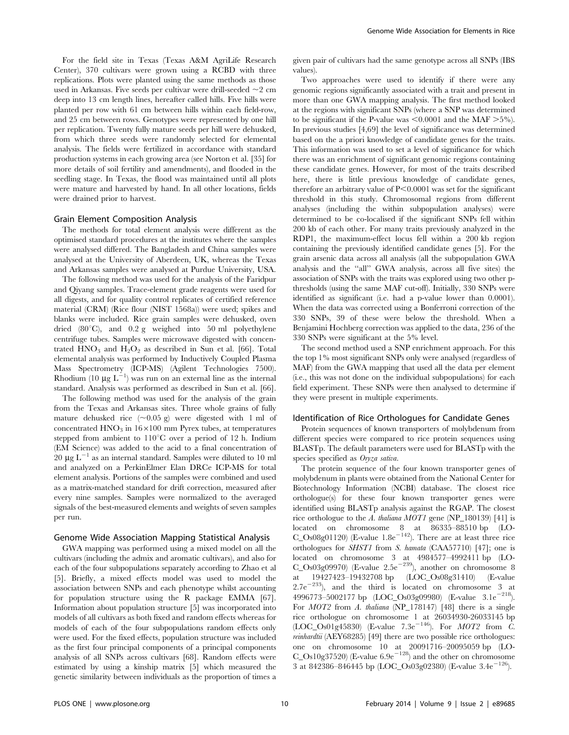For the field site in Texas (Texas A&M AgriLife Research Center), 370 cultivars were grown using a RCBD with three replications. Plots were planted using the same methods as those used in Arkansas. Five seeds per cultivar were drill-seeded  $\sim$  2 cm deep into 13 cm length lines, hereafter called hills. Five hills were planted per row with 61 cm between hills within each field-row, and 25 cm between rows. Genotypes were represented by one hill per replication. Twenty fully mature seeds per hill were dehusked, from which three seeds were randomly selected for elemental analysis. The fields were fertilized in accordance with standard production systems in each growing area (see Norton et al. [35] for more details of soil fertility and amendments), and flooded in the seedling stage. In Texas, the flood was maintained until all plots were mature and harvested by hand. In all other locations, fields were drained prior to harvest.

#### Grain Element Composition Analysis

The methods for total element analysis were different as the optimised standard procedures at the institutes where the samples were analysed differed. The Bangladesh and China samples were analysed at the University of Aberdeen, UK, whereas the Texas and Arkansas samples were analysed at Purdue University, USA.

The following method was used for the analysis of the Faridpur and Qiyang samples. Trace-element grade reagents were used for all digests, and for quality control replicates of certified reference material (CRM) (Rice flour (NIST 1568a)) were used; spikes and blanks were included. Rice grain samples were dehusked, oven dried  $(80^{\circ}\text{C})$ , and  $0.2$  g weighed into 50 ml polyethylene centrifuge tubes. Samples were microwave digested with concentrated  $HNO<sub>3</sub>$  and  $H<sub>2</sub>O<sub>2</sub>$  as described in Sun et al. [66]. Total elemental analysis was performed by Inductively Coupled Plasma Mass Spectrometry (ICP-MS) (Agilent Technologies 7500). Rhodium (10  $\mu$ g L<sup>-1</sup>) was run on an external line as the internal standard. Analysis was performed as described in Sun et al. [66].

The following method was used for the analysis of the grain from the Texas and Arkansas sites. Three whole grains of fully mature dehusked rice  $(\sim 0.05 \text{ g})$  were digested with 1 ml of concentrated  $HNO<sub>3</sub>$  in  $16\times100$  mm Pyrex tubes, at temperatures stepped from ambient to  $110^{\circ}$ C over a period of 12 h. Indium (EM Science) was added to the acid to a final concentration of 20  $\mu$ g L<sup>-1</sup> as an internal standard. Samples were diluted to 10 ml and analyzed on a PerkinElmer Elan DRCe ICP-MS for total element analysis. Portions of the samples were combined and used as a matrix-matched standard for drift correction, measured after every nine samples. Samples were normalized to the averaged signals of the best-measured elements and weights of seven samples per run.

#### Genome Wide Association Mapping Statistical Analysis

GWA mapping was performed using a mixed model on all the cultivars (including the admix and aromatic cultivars), and also for each of the four subpopulations separately according to Zhao et al [5]. Briefly, a mixed effects model was used to model the association between SNPs and each phenotype whilst accounting for population structure using the R package EMMA [67]. Information about population structure [5] was incorporated into models of all cultivars as both fixed and random effects whereas for models of each of the four subpopulations random effects only were used. For the fixed effects, population structure was included as the first four principal components of a principal components analysis of all SNPs across cultivars [68]. Random effects were estimated by using a kinship matrix [5] which measured the genetic similarity between individuals as the proportion of times a given pair of cultivars had the same genotype across all SNPs (IBS values).

Two approaches were used to identify if there were any genomic regions significantly associated with a trait and present in more than one GWA mapping analysis. The first method looked at the regions with significant SNPs (where a SNP was determined to be significant if the P-value was  $\leq 0.0001$  and the MAF  $>5\%$ ). In previous studies [4,69] the level of significance was determined based on the a priori knowledge of candidate genes for the traits. This information was used to set a level of significance for which there was an enrichment of significant genomic regions containing these candidate genes. However, for most of the traits described here, there is little previous knowledge of candidate genes, therefore an arbitrary value of  $P \le 0.0001$  was set for the significant threshold in this study. Chromosomal regions from different analyses (including the within subpopulation analyses) were determined to be co-localised if the significant SNPs fell within 200 kb of each other. For many traits previously analyzed in the RDP1, the maximum-effect locus fell within a 200 kb region containing the previously identified candidate genes [5]. For the grain arsenic data across all analysis (all the subpopulation GWA analysis and the ''all'' GWA analysis, across all five sites) the association of SNPs with the traits was explored using two other pthresholds (using the same MAF cut-off). Initially, 330 SNPs were identified as significant (i.e. had a p-value lower than 0.0001). When the data was corrected using a Bonferroni correction of the 330 SNPs, 39 of these were below the threshold. When a Benjamini Hochberg correction was applied to the data, 236 of the 330 SNPs were significant at the 5% level.

The second method used a SNP enrichment approach. For this the top 1% most significant SNPs only were analysed (regardless of MAF) from the GWA mapping that used all the data per element (i.e., this was not done on the individual subpopulations) for each field experiment. These SNPs were then analysed to determine if they were present in multiple experiments.

#### Identification of Rice Orthologues for Candidate Genes

Protein sequences of known transporters of molybdenum from different species were compared to rice protein sequences using BLASTp. The default parameters were used for BLASTp with the species specified as Oryza sativa.

The protein sequence of the four known transporter genes of molybdenum in plants were obtained from the National Center for Biotechnology Information (NCBI) database. The closest rice orthologue(s) for these four known transporter genes were identified using BLASTp analysis against the RGAP. The closest rice orthologue to the A. thaliana  $MOT1$  gene (NP\_180139) [41] is located on chromosome 8 at 86335–88510 bp (LO- $C_{\text{0.08}}$ Os08g01120) (E-value 1.8e<sup>-142</sup>). There are at least three rice orthologues for SHST1 from S. hamata (CAA57710) [47]; one is located on chromosome 3 at 4984577–4992411 bp (LO- $C_Os03g09970$ ) (E-value 2.5e<sup>-239</sup>), another on chromosome 8 at 19427423–19432708 bp (LOC\_Os08g31410) (E-value 2.7e<sup> $-233$ </sup>), and the third is located on chromosome 3 at 4996773-5002177 bp  $(LOC\_Os03g09980)$   $(E-value 3.1e^{-218})$ . For *MOT2* from A. thaliana (NP<sub>178147)</sub> [48] there is a single rice orthologue on chromosome 1 at 26034930-26033145 bp  $(LOC\_Os01g45830)$  (E-value 7.3e<sup>-146</sup>). For MOT2 from C. reinhardtii (AEY68285) [49] there are two possible rice orthologues: one on chromosome 10 at 20091716–20095059 bp (LO-C\_Os10g37520) (E-value 6.9e<sup>-128</sup>) and the other on chromosome 3 at 842386–846445 bp (LOC\_Os03g02380) (E-value 3.4e<sup>-126</sup>).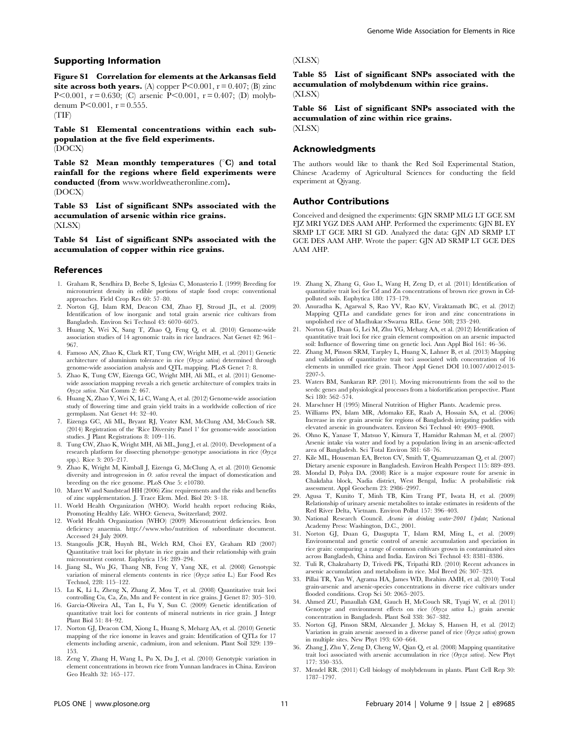## Supporting Information

Figure S1 Correlation for elements at the Arkansas field site across both years. (A) copper  $P<0.001$ ,  $r = 0.407$ ; (B) zinc P<0.001,  $r = 0.630$ ; (C) arsenic P<0.001,  $r = 0.407$ ; (D) molybdenum  $P<0.001$ ,  $r = 0.555$ .

(TIF)

Table S1 Elemental concentrations within each subpopulation at the five field experiments. (DOCX)

Table S2 Mean monthly temperatures  $(^{\circ}C)$  and total rainfall for the regions where field experiments were conducted (from www.worldweatheronline.com). (DOCX)

Table S3 List of significant SNPs associated with the accumulation of arsenic within rice grains. (XLSX)

Table S4 List of significant SNPs associated with the accumulation of copper within rice grains.

## References

- 1. Graham R, Sendhira D, Beebe S, Iglesias C, Monasterio I. (1999) Breeding for micronutrient density in edible portions of staple food crops: conventional approaches. Field Crop Res 60: 57–80.
- 2. Norton GJ, Islam RM, Deacon CM, Zhao FJ, Stroud JL, et al. (2009) Identification of low inorganic and total grain arsenic rice cultivars from Bangladesh. Environ Sci Technol 43: 6070–6075.
- 3. Huang X, Wei X, Sang T, Zhao Q, Feng Q, et al. (2010) Genome-wide association studies of 14 agronomic traits in rice landraces. Nat Genet 42: 961– 967.
- 4. Famoso AN, Zhao K, Clark RT, Tung CW, Wright MH, et al. (2011) Genetic architecture of aluminium tolerance in rice (Oryza sativa) determined through genome-wide association analysis and QTL mapping. PLoS Genet 7: 8.
- 5. Zhao K, Tung CW, Eizenga GC, Wright MH, Ali ML, et al. (2011) Genomewide association mapping reveals a rich genetic architecture of complex traits in Oryza sativa. Nat Comm 2: 467.
- 6. Huang X, Zhao Y, Wei X, Li C, Wang A, et al. (2012) Genome-wide association study of flowering time and grain yield traits in a worldwide collection of rice germplasm. Nat Genet 44: 32–40.
- 7. Eizenga GC, Ali ML, Bryant RJ, Yeater KM, McClung AM, McCouch SR. (2014) Registration of the 'Rice Diversity Panel 1' for genome-wide association studies. J Plant Registrations 8: 109–116.
- 8. Tung CW, Zhao K, Wright MH, Ali ML, Jung J, et al. (2010). Development of a research platform for dissecting phenotype–genotype associations in rice (Oryza spp.). Rice 3: 205–217.
- 9. Zhao K, Wright M, Kimball J, Eizenga G, McClung A, et al. (2010) Genomic diversity and introgression in O. sativa reveal the impact of domestication and breeding on the rice genome. PLoS One 5: e10780.
- 10. Maret W and Sandstead HH (2006) Zinc requirements and the risks and benefits of zinc supplementation. J. Trace Elem. Med. Biol 20: 3–18.
- 11. World Health Organization (WHO). World health report reducing Risks, Promoting Healthy Life. WHO: Geneva, Switzerland; 2002.
- 12. World Health Organization (WHO) (2009) Micronutrient deficiencies. Iron deficiency anaemia. http://www.who/nutrition of subordinate document. Accessed 24 July 2009.
- 13. Stangoulis JCR, Huynh BL, Welch RM, Choi EY, Graham RD (2007) Quantitative trait loci for phytate in rice grain and their relationship with grain micronutrient content. Euphytica 154: 289–294.
- 14. Jiang SL, Wu JG, Thang NB, Feng Y, Yang XE, et al. (2008) Genotypic variation of mineral elements contents in rice (Oryza sativa L.) Eur Food Res Technol, 228: 115–122.
- 15. Lu K, Li L, Zheng X, Zhang Z, Mou T, et al. (2008) Quantitative trait loci controlling Cu, Ca, Zn, Mn and Fe content in rice grains. J Genet 87: 305–310.
- 16. Garcia-Oliveira AL, Tan L, Fu Y, Sun C. (2009) Genetic identification of quantitative trait loci for contents of mineral nutrients in rice grain. J Integr Plant Biol 51: 84–92.
- 17. Norton GJ, Deacon CM, Xiong L, Huang S, Meharg AA, et al. (2010) Genetic mapping of the rice ionome in leaves and grain: Identification of QTLs for 17 elements including arsenic, cadmium, iron and selenium. Plant Soil 329: 139– 153.
- 18. Zeng Y, Zhang H, Wang L, Pu X, Du J, et al. (2010) Genotypic variation in element concentrations in brown rice from Yunnan landraces in China. Environ Geo Health 32: 165–177.

## (XLSX)

Table S5 List of significant SNPs associated with the accumulation of molybdenum within rice grains. (XLSX)

Table S6 List of significant SNPs associated with the accumulation of zinc within rice grains. (XLSX)

## Acknowledgments

The authors would like to thank the Red Soil Experimental Station, Chinese Academy of Agricultural Sciences for conducting the field experiment at Qiyang.

## Author Contributions

Conceived and designed the experiments: GJN SRMP MLG LT GCE SM FJZ MRI YGZ DES AAM AHP. Performed the experiments: GJN BL EY SRMP LT GCE MRI SI GD. Analyzed the data: GJN AD SRMP LT GCE DES AAM AHP. Wrote the paper: GJN AD SRMP LT GCE DES AAM AHP.

- 19. Zhang X, Zhang G, Guo L, Wang H, Zeng D, et al. (2011) Identification of quantitative trait loci for Cd and Zn concentrations of brown rice grown in Cdpolluted soils. Euphytica 180: 173–179.
- 20. Anuradha K, Agarwal S, Rao YV, Rao KV, Viraktamath BC, et al. (2012) Mapping QTLs and candidate genes for iron and zinc concentrations in unpolished rice of Madhukar×Swarna RILs. Gene 508; 233–240.
- 21. Norton GJ, Duan G, Lei M, Zhu YG, Meharg AA, et al. (2012) Identification of quantitative trait loci for rice grain element composition on an arsenic impacted soil: Influence of flowering time on genetic loci. Ann Appl Biol 161: 46–56.
- 22. Zhang M, Pinson SRM, Tarpley L, Huang X, Lahner B, et al. (2013) Mapping and validation of quantitative trait toci associated with concentration of 16 elements in unmilled rice grain. Theor Appl Genet DOI 10.1007/s0012-013- 2207-5.
- 23. Waters BM, Sankaran RP. (2011). Moving micronutrients from the soil to the seeds: genes and physiological processes from a biofortification perspective. Plant Sci 180: 562–574.
- 24. Marschner H (1995) Mineral Nutrition of Higher Plants. Academic press.
- 25. Williams PN, Islam MR, Adomako EE, Raab A, Hossain SA, et al. (2006) Increase in rice grain arsenic for regions of Bangladesh irrigating paddies with elevated arsenic in groundwaters. Environ Sci Technol 40: 4903–4908.
- 26. Ohno K, Yanase T, Matsuo Y, Kimura T, Hamidur Rahman M, et al. (2007) Arsenic intake via water and food by a population living in an arsenic-affected area of Bangladesh. Sci Total Environ 381: 68–76.
- 27. Kile ML, Houseman EA, Breton CV, Smith T, Quamruzzaman Q, et al. (2007) Dietary arsenic exposure in Bangladesh. Environ Health Perspect 115: 889–893.
- 28. Mondal D, Polya DA. (2008) Rice is a major exposure route for arsenic in Chakdaha block, Nadia district, West Bengal, India: A probabilistic risk assessment. Appl Geochem 23: 2986–2997.
- 29. Agusa T, Kunito T, Minh TB, Kim Trang PT, Iwata H, et al. (2009) Relationship of urinary arsenic metabolites to intake estimates in residents of the Red River Delta, Vietnam. Environ Pollut 157: 396–403.
- 30. National Research Council. Arsenic in drinking water-2001 Update; National Academy Press: Washington, D.C., 2001.
- 31. Norton GJ, Duan G, Dasgupta T, Islam RM, Ming L, et al. (2009) Environmental and genetic control of arsenic accumulation and speciation in rice grain: comparing a range of common cultivars grown in contaminated sites across Bangladesh, China and India. Environ Sci Technol 43: 8381–8386.
- 32. Tuli R, Chakrabarty D, Trivedi PK, Tripathi RD. (2010) Recent advances in arsenic accumulation and metabolism in rice. Mol Breed 26: 307–323.
- 33. Pillai TR, Yan W, Agrama HA, James WD, Ibrahim AMH, et al. (2010) Total grain-arsenic and arsenic-species concentrations in diverse rice cultivars under flooded conditions. Crop Sci 50: 2065–2075.
- 34. Ahmed ZU, Panaullah GM, Gauch H, McCouch SR, Tyagi W, et al. (2011) Genotype and environment effects on rice (Oryza sativa L.) grain arsenic concentration in Bangladesh. Plant Soil 338: 367–382.
- 35. Norton GJ, Pinson SRM, Alexander J, Mckay S, Hansen H, et al. (2012) Variation in grain arsenic assessed in a diverse panel of rice  $(Oryza sativa)$  grown in multiple sites. New Phyt 193: 650–664.
- 36. Zhang J, Zhu Y, Zeng D, Cheng W, Qian Q, et al. (2008) Mapping quantitative trait loci associated with arsenic accumulation in rice (Oryza sativa). New Phyt 177: 350–355.
- 37. Mendel RR. (2011) Cell biology of molybdenum in plants. Plant Cell Rep 30: 1787–1797.